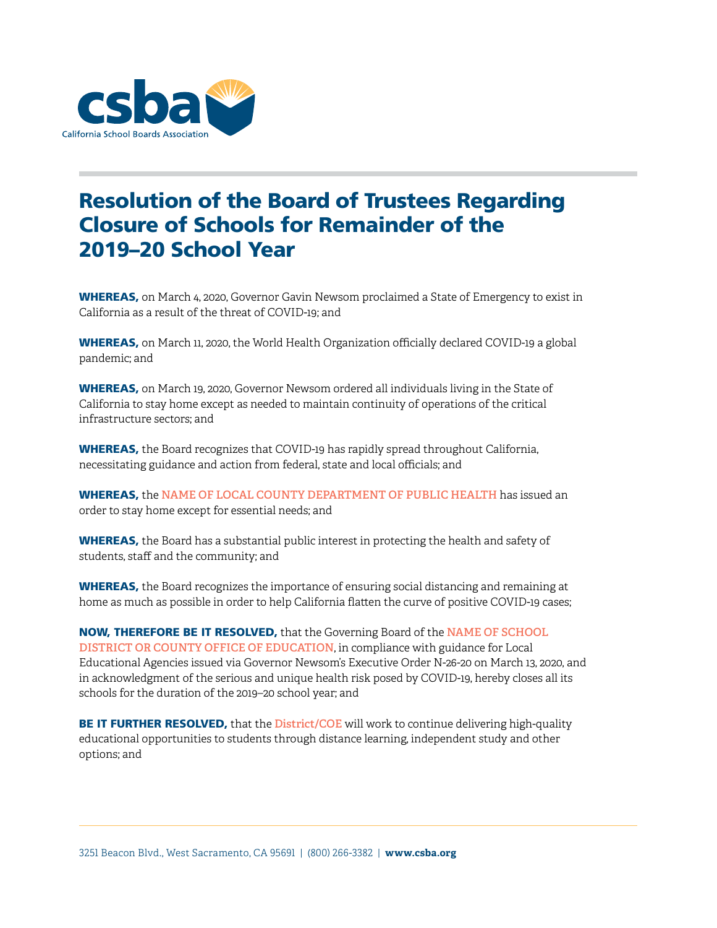

## Resolution of the Board of Trustees Regarding Closure of Schools for Remainder of the 2019–20 School Year

WHEREAS, on March 4, 2020, Governor Gavin Newsom proclaimed a State of Emergency to exist in California as a result of the threat of COVID-19; and

WHEREAS, on March 11, 2020, the World Health Organization officially declared COVID-19 a global pandemic; and

WHEREAS, on March 19, 2020, Governor Newsom ordered all individuals living in the State of California to stay home except as needed to maintain continuity of operations of the critical infrastructure sectors; and

WHEREAS, the Board recognizes that COVID-19 has rapidly spread throughout California, necessitating guidance and action from federal, state and local officials; and

WHEREAS, the **NAME OF LOCAL COUNTY DEPARTMENT OF PUBLIC HEALTH** has issued an order to stay home except for essential needs; and

WHEREAS, the Board has a substantial public interest in protecting the health and safety of students, staff and the community; and

WHEREAS, the Board recognizes the importance of ensuring social distancing and remaining at home as much as possible in order to help California flatten the curve of positive COVID-19 cases;

NOW, THEREFORE BE IT RESOLVED, that the Governing Board of the **NAME OF SCHOOL DISTRICT OR COUNTY OFFICE OF EDUCATION**, in compliance with guidance for Local Educational Agencies issued via Governor Newsom's Executive Order N-26-20 on March 13, 2020, and in acknowledgment of the serious and unique health risk posed by COVID-19, hereby closes all its schools for the duration of the 2019–20 school year; and

BE IT FURTHER RESOLVED, that the **District/COE** will work to continue delivering high-quality educational opportunities to students through distance learning, independent study and other options; and